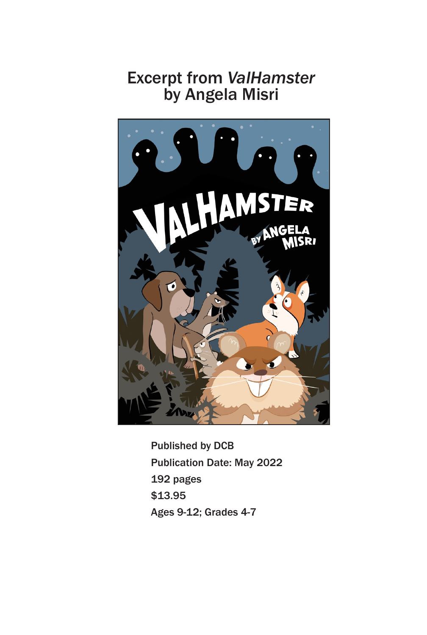## Excerpt from *ValHamster* by Angela Misri



Published by DCB Publication Date: May 2022 192 pages \$13.95 Ages 9-12; Grades 4-7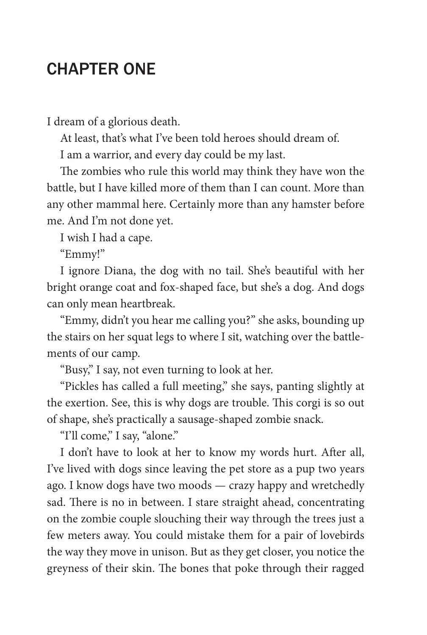# CHAPTER ONE

I dream of a glorious death.

At least, that's what I've been told heroes should dream of.

I am a warrior, and every day could be my last.

The zombies who rule this world may think they have won the battle, but I have killed more of them than I can count. More than any other mammal here. Certainly more than any hamster before me. And I'm not done yet.

I wish I had a cape.

"Emmy!"

I ignore Diana, the dog with no tail. She's beautiful with her bright orange coat and fox-shaped face, but she's a dog. And dogs can only mean heartbreak.

"Emmy, didn't you hear me calling you?" she asks, bounding up the stairs on her squat legs to where I sit, watching over the battlements of our camp.

"Busy," I say, not even turning to look at her.

"Pickles has called a full meeting," she says, panting slightly at the exertion. See, this is why dogs are trouble. This corgi is so out of shape, she's practically a sausage-shaped zombie snack.

"I'll come," I say, "alone."

I don't have to look at her to know my words hurt. After all, I've lived with dogs since leaving the pet store as a pup two years ago. I know dogs have two moods — crazy happy and wretchedly sad. There is no in between. I stare straight ahead, concentrating on the zombie couple slouching their way through the trees just a few meters away. You could mistake them for a pair of lovebirds the way they move in unison. But as they get closer, you notice the greyness of their skin. The bones that poke through their ragged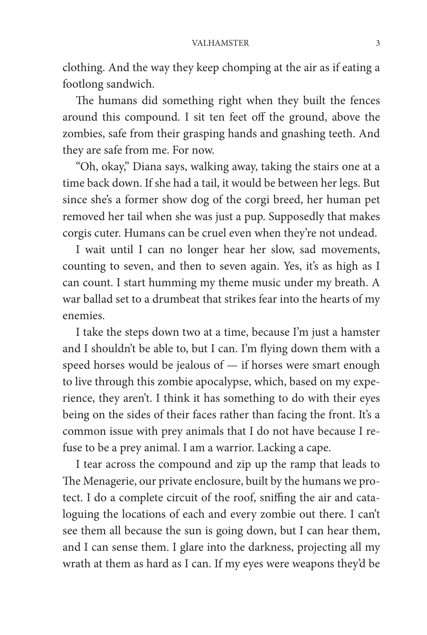clothing. And the way they keep chomping at the air as if eating a footlong sandwich.

The humans did something right when they built the fences around this compound. I sit ten feet off the ground, above the zombies, safe from their grasping hands and gnashing teeth. And they are safe from me. For now.

"Oh, okay," Diana says, walking away, taking the stairs one at a time back down. If she had a tail, it would be between her legs. But since she's a former show dog of the corgi breed, her human pet removed her tail when she was just a pup. Supposedly that makes corgis cuter. Humans can be cruel even when they're not undead.

I wait until I can no longer hear her slow, sad movements, counting to seven, and then to seven again. Yes, it's as high as I can count. I start humming my theme music under my breath. A war ballad set to a drumbeat that strikes fear into the hearts of my enemies.

I take the steps down two at a time, because I'm just a hamster and I shouldn't be able to, but I can. I'm flying down them with a speed horses would be jealous of — if horses were smart enough to live through this zombie apocalypse, which, based on my experience, they aren't. I think it has something to do with their eyes being on the sides of their faces rather than facing the front. It's a common issue with prey animals that I do not have because I refuse to be a prey animal. I am a warrior. Lacking a cape.

I tear across the compound and zip up the ramp that leads to The Menagerie, our private enclosure, built by the humans we protect. I do a complete circuit of the roof, sniffing the air and cataloguing the locations of each and every zombie out there. I can't see them all because the sun is going down, but I can hear them, and I can sense them. I glare into the darkness, projecting all my wrath at them as hard as I can. If my eyes were weapons they'd be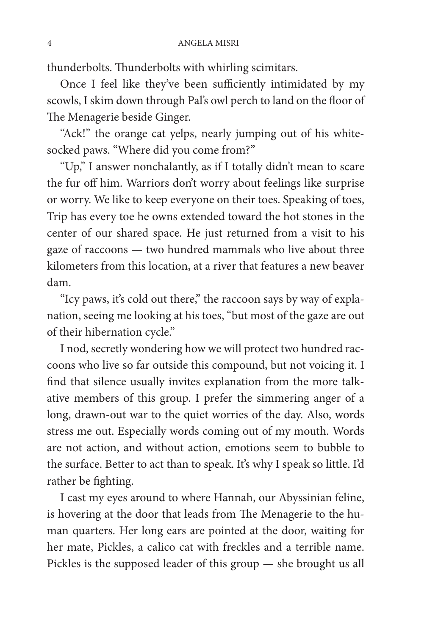thunderbolts. Thunderbolts with whirling scimitars.

Once I feel like they've been sufficiently intimidated by my scowls, I skim down through Pal's owl perch to land on the floor of The Menagerie beside Ginger.

"Ack!" the orange cat yelps, nearly jumping out of his whitesocked paws. "Where did you come from?"

"Up," I answer nonchalantly, as if I totally didn't mean to scare the fur off him. Warriors don't worry about feelings like surprise or worry. We like to keep everyone on their toes. Speaking of toes, Trip has every toe he owns extended toward the hot stones in the center of our shared space. He just returned from a visit to his gaze of raccoons — two hundred mammals who live about three kilometers from this location, at a river that features a new beaver dam.

"Icy paws, it's cold out there," the raccoon says by way of explanation, seeing me looking at his toes, "but most of the gaze are out of their hibernation cycle."

I nod, secretly wondering how we will protect two hundred raccoons who live so far outside this compound, but not voicing it. I find that silence usually invites explanation from the more talkative members of this group. I prefer the simmering anger of a long, drawn-out war to the quiet worries of the day. Also, words stress me out. Especially words coming out of my mouth. Words are not action, and without action, emotions seem to bubble to the surface. Better to act than to speak. It's why I speak so little. I'd rather be fighting.

I cast my eyes around to where Hannah, our Abyssinian feline, is hovering at the door that leads from The Menagerie to the human quarters. Her long ears are pointed at the door, waiting for her mate, Pickles, a calico cat with freckles and a terrible name. Pickles is the supposed leader of this group — she brought us all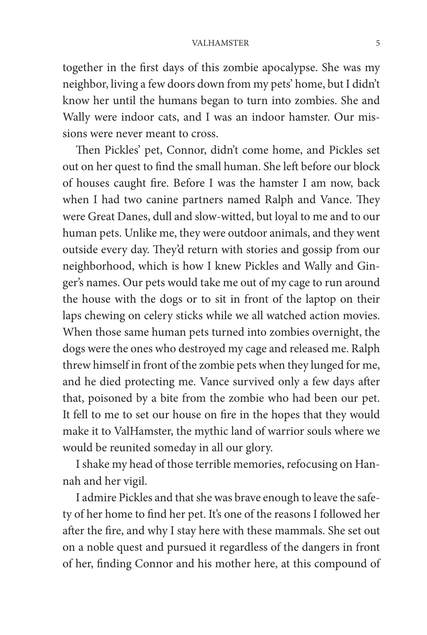together in the first days of this zombie apocalypse. She was my neighbor, living a few doors down from my pets' home, but I didn't know her until the humans began to turn into zombies. She and Wally were indoor cats, and I was an indoor hamster. Our missions were never meant to cross.

Then Pickles' pet, Connor, didn't come home, and Pickles set out on her quest to find the small human. She left before our block of houses caught fire. Before I was the hamster I am now, back when I had two canine partners named Ralph and Vance. They were Great Danes, dull and slow-witted, but loyal to me and to our human pets. Unlike me, they were outdoor animals, and they went outside every day. They'd return with stories and gossip from our neighborhood, which is how I knew Pickles and Wally and Ginger's names. Our pets would take me out of my cage to run around the house with the dogs or to sit in front of the laptop on their laps chewing on celery sticks while we all watched action movies. When those same human pets turned into zombies overnight, the dogs were the ones who destroyed my cage and released me. Ralph threw himself in front of the zombie pets when they lunged for me, and he died protecting me. Vance survived only a few days after that, poisoned by a bite from the zombie who had been our pet. It fell to me to set our house on fire in the hopes that they would make it to ValHamster, the mythic land of warrior souls where we would be reunited someday in all our glory.

I shake my head of those terrible memories, refocusing on Hannah and her vigil.

I admire Pickles and that she was brave enough to leave the safety of her home to find her pet. It's one of the reasons I followed her after the fire, and why I stay here with these mammals. She set out on a noble quest and pursued it regardless of the dangers in front of her, finding Connor and his mother here, at this compound of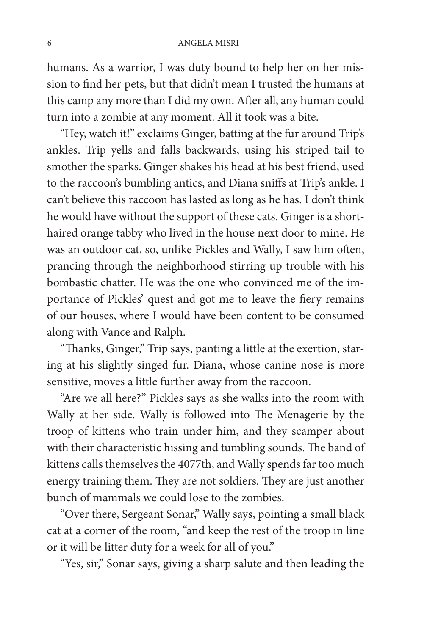#### 6 ANGELA MISRI

humans. As a warrior, I was duty bound to help her on her mission to find her pets, but that didn't mean I trusted the humans at this camp any more than I did my own. After all, any human could turn into a zombie at any moment. All it took was a bite.

"Hey, watch it!" exclaims Ginger, batting at the fur around Trip's ankles. Trip yells and falls backwards, using his striped tail to smother the sparks. Ginger shakes his head at his best friend, used to the raccoon's bumbling antics, and Diana sniffs at Trip's ankle. I can't believe this raccoon has lasted as long as he has. I don't think he would have without the support of these cats. Ginger is a shorthaired orange tabby who lived in the house next door to mine. He was an outdoor cat, so, unlike Pickles and Wally, I saw him often, prancing through the neighborhood stirring up trouble with his bombastic chatter. He was the one who convinced me of the importance of Pickles' quest and got me to leave the fiery remains of our houses, where I would have been content to be consumed along with Vance and Ralph.

"Thanks, Ginger," Trip says, panting a little at the exertion, staring at his slightly singed fur. Diana, whose canine nose is more sensitive, moves a little further away from the raccoon.

"Are we all here?" Pickles says as she walks into the room with Wally at her side. Wally is followed into The Menagerie by the troop of kittens who train under him, and they scamper about with their characteristic hissing and tumbling sounds. The band of kittens calls themselves the 4077th, and Wally spends far too much energy training them. They are not soldiers. They are just another bunch of mammals we could lose to the zombies.

"Over there, Sergeant Sonar," Wally says, pointing a small black cat at a corner of the room, "and keep the rest of the troop in line or it will be litter duty for a week for all of you."

"Yes, sir," Sonar says, giving a sharp salute and then leading the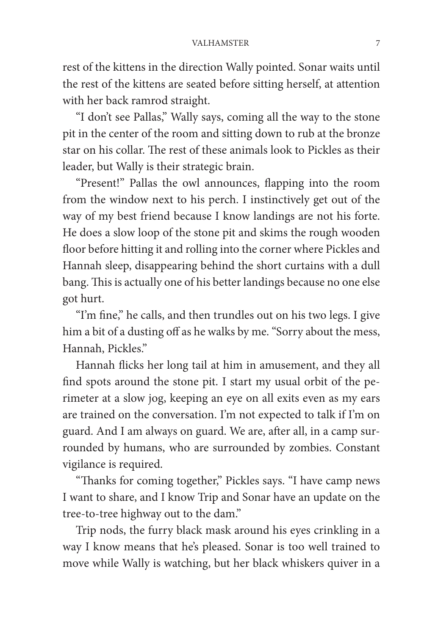rest of the kittens in the direction Wally pointed. Sonar waits until the rest of the kittens are seated before sitting herself, at attention with her back ramrod straight.

"I don't see Pallas," Wally says, coming all the way to the stone pit in the center of the room and sitting down to rub at the bronze star on his collar. The rest of these animals look to Pickles as their leader, but Wally is their strategic brain.

"Present!" Pallas the owl announces, flapping into the room from the window next to his perch. I instinctively get out of the way of my best friend because I know landings are not his forte. He does a slow loop of the stone pit and skims the rough wooden floor before hitting it and rolling into the corner where Pickles and Hannah sleep, disappearing behind the short curtains with a dull bang. This is actually one of his better landings because no one else got hurt.

"I'm fine," he calls, and then trundles out on his two legs. I give him a bit of a dusting off as he walks by me. "Sorry about the mess, Hannah, Pickles."

Hannah flicks her long tail at him in amusement, and they all find spots around the stone pit. I start my usual orbit of the perimeter at a slow jog, keeping an eye on all exits even as my ears are trained on the conversation. I'm not expected to talk if I'm on guard. And I am always on guard. We are, after all, in a camp surrounded by humans, who are surrounded by zombies. Constant vigilance is required.

"Thanks for coming together," Pickles says. "I have camp news I want to share, and I know Trip and Sonar have an update on the tree-to-tree highway out to the dam."

Trip nods, the furry black mask around his eyes crinkling in a way I know means that he's pleased. Sonar is too well trained to move while Wally is watching, but her black whiskers quiver in a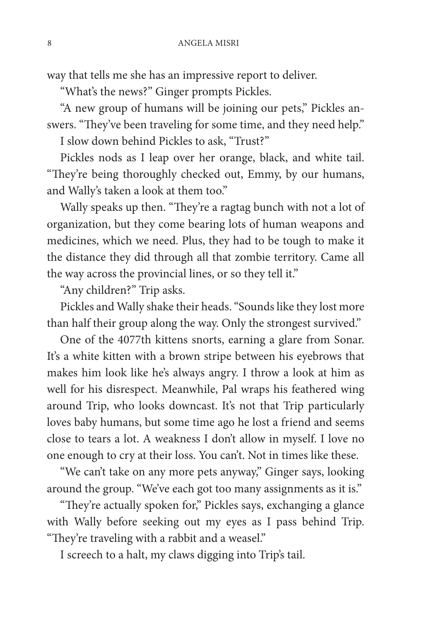way that tells me she has an impressive report to deliver.

"What's the news?" Ginger prompts Pickles.

"A new group of humans will be joining our pets," Pickles answers. "They've been traveling for some time, and they need help."

I slow down behind Pickles to ask, "Trust?"

Pickles nods as I leap over her orange, black, and white tail. "They're being thoroughly checked out, Emmy, by our humans, and Wally's taken a look at them too."

Wally speaks up then. "They're a ragtag bunch with not a lot of organization, but they come bearing lots of human weapons and medicines, which we need. Plus, they had to be tough to make it the distance they did through all that zombie territory. Came all the way across the provincial lines, or so they tell it."

"Any children?" Trip asks.

Pickles and Wally shake their heads. "Sounds like they lost more than half their group along the way. Only the strongest survived."

One of the 4077th kittens snorts, earning a glare from Sonar. It's a white kitten with a brown stripe between his eyebrows that makes him look like he's always angry. I throw a look at him as well for his disrespect. Meanwhile, Pal wraps his feathered wing around Trip, who looks downcast. It's not that Trip particularly loves baby humans, but some time ago he lost a friend and seems close to tears a lot. A weakness I don't allow in myself. I love no one enough to cry at their loss. You can't. Not in times like these.

"We can't take on any more pets anyway," Ginger says, looking around the group. "We've each got too many assignments as it is."

"They're actually spoken for," Pickles says, exchanging a glance with Wally before seeking out my eyes as I pass behind Trip. "They're traveling with a rabbit and a weasel."

I screech to a halt, my claws digging into Trip's tail.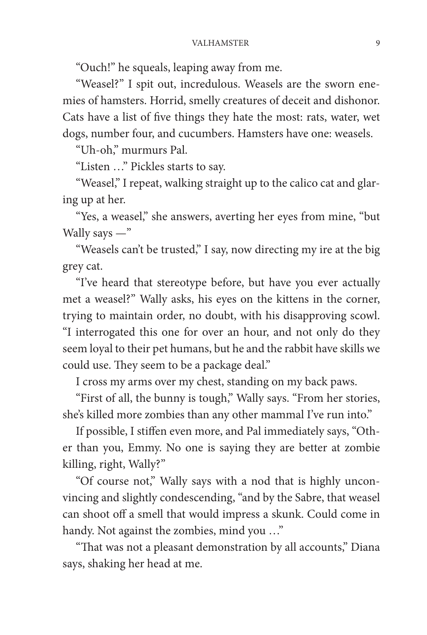"Ouch!" he squeals, leaping away from me.

"Weasel?" I spit out, incredulous. Weasels are the sworn enemies of hamsters. Horrid, smelly creatures of deceit and dishonor. Cats have a list of five things they hate the most: rats, water, wet dogs, number four, and cucumbers. Hamsters have one: weasels.

"Uh-oh," murmurs Pal.

"Listen …" Pickles starts to say.

"Weasel," I repeat, walking straight up to the calico cat and glaring up at her.

"Yes, a weasel," she answers, averting her eyes from mine, "but Wally says —"

"Weasels can't be trusted," I say, now directing my ire at the big grey cat.

"I've heard that stereotype before, but have you ever actually met a weasel?" Wally asks, his eyes on the kittens in the corner, trying to maintain order, no doubt, with his disapproving scowl. "I interrogated this one for over an hour, and not only do they seem loyal to their pet humans, but he and the rabbit have skills we could use. They seem to be a package deal."

I cross my arms over my chest, standing on my back paws.

"First of all, the bunny is tough," Wally says. "From her stories, she's killed more zombies than any other mammal I've run into."

If possible, I stiffen even more, and Pal immediately says, "Other than you, Emmy. No one is saying they are better at zombie killing, right, Wally?"

"Of course not," Wally says with a nod that is highly unconvincing and slightly condescending, "and by the Sabre, that weasel can shoot off a smell that would impress a skunk. Could come in handy. Not against the zombies, mind you ..."

"That was not a pleasant demonstration by all accounts," Diana says, shaking her head at me.